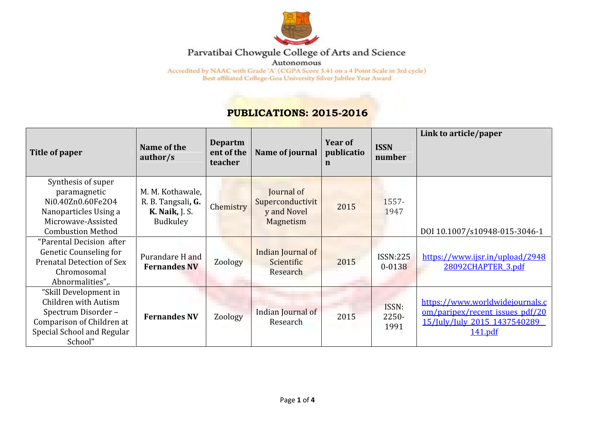

## Parvatibai Chowgule College of Arts and Science

Autonomous

 $\rm{Accredicted~by~NAAC~with~Grade~'A'}\left(CGPA~Score~3.41~on~a~4~Point~Scale~in~3rd~cycle\right)\\ Best~afflicated~College-Goa~University~Silver~Jubilee~Year~Award$ 

## **PUBLICATIONS: 2015-2016**

| Title of paper                                                                                                                            | Name of the<br>author/s                                                     | <b>Departm</b><br>ent of the<br>teacher | Name of journal                                            | Year of<br>publicatio<br>$\mathbf n$ | <b>ISSN</b><br>number         | Link to article/paper                                                                                         |
|-------------------------------------------------------------------------------------------------------------------------------------------|-----------------------------------------------------------------------------|-----------------------------------------|------------------------------------------------------------|--------------------------------------|-------------------------------|---------------------------------------------------------------------------------------------------------------|
| Synthesis of super<br>paramagnetic<br>Ni0.40Zn0.60Fe2O4<br>Nanoparticles Using a<br>Microwave-Assisted<br><b>Combustion Method</b>        | M. M. Kothawale,<br>R. B. Tangsali, G.<br><b>K. Naik, J. S.</b><br>Budkuley | Chemistry                               | Journal of<br>Superconductivit<br>y and Novel<br>Magnetism | 2015                                 | 1557-<br>1947                 | DOI 10.1007/s10948-015-3046-1                                                                                 |
| "Parental Decision after<br>Genetic Counseling for<br><b>Prenatal Detection of Sex</b><br>Chromosomal<br>Abnormalities",                  | Purandare H and<br><b>Fernandes NV</b>                                      | Zoology                                 | Indian Journal of<br>Scientific<br>Research                | 2015                                 | <b>ISSN:225</b><br>$0 - 0138$ | https://www.ijsr.in/upload/2948<br>28092CHAPTER 3.pdf                                                         |
| "Skill Development in<br>Children with Autism<br>Spectrum Disorder-<br>Comparison of Children at<br>Special School and Regular<br>School" | <b>Fernandes NV</b>                                                         | Zoology                                 | Indian Journal of<br>Research                              | 2015                                 | ISSN:<br>$2250 -$<br>1991     | https://www.worldwidejournals.c<br>om/paripex/recent issues pdf/20<br>15/July/July 2015 1437540289<br>141.pdf |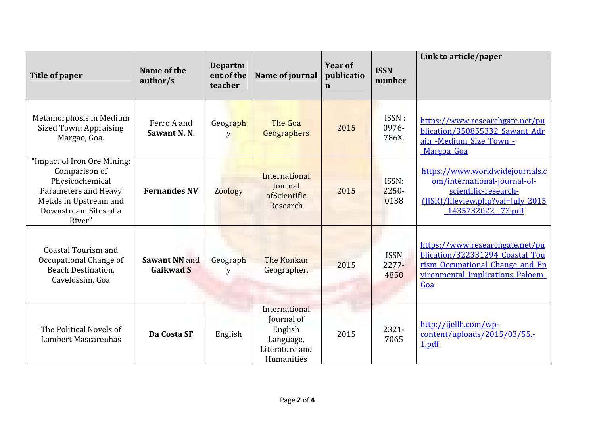| <b>Title of paper</b>                                                                                                                                | Name of the<br>author/s           | <b>Departm</b><br>ent of the<br>teacher | Name of journal                                                                     | Year of<br>publicatio<br>$\mathbf n$ | <b>ISSN</b><br>number        | Link to article/paper                                                                                                                             |
|------------------------------------------------------------------------------------------------------------------------------------------------------|-----------------------------------|-----------------------------------------|-------------------------------------------------------------------------------------|--------------------------------------|------------------------------|---------------------------------------------------------------------------------------------------------------------------------------------------|
| Metamorphosis in Medium<br>Sized Town: Appraising<br>Margao, Goa.                                                                                    | Ferro A and<br>Sawant N.N.        | Geograph<br>y                           | The Goa<br>Geographers                                                              | 2015                                 | ISSN:<br>0976-<br>786X.      | https://www.researchgate.net/pu<br>blication/350855332 Sawant Adr<br>ain -Medium Size Town -<br>Margoa Goa                                        |
| "Impact of Iron Ore Mining:<br>Comparison of<br>Physicochemical<br>Parameters and Heavy<br>Metals in Upstream and<br>Downstream Sites of a<br>River" | <b>Fernandes NV</b>               | <b>Zoology</b>                          | International<br>Journal<br>ofScientific<br>Research                                | 2015                                 | ISSN:<br>2250-<br>0138       | https://www.worldwidejournals.c<br>om/international-journal-of-<br>scientific-research-<br>(IJSR)/fileview.php?val=July_2015<br>1435732022 73.pdf |
| Coastal Tourism and<br>Occupational Change of<br><b>Beach Destination,</b><br>Cavelossim, Goa                                                        | Sawant NN and<br><b>Gaikwad S</b> | Geograph<br>V                           | The Konkan<br>Geographer,                                                           | 2015                                 | <b>ISSN</b><br>2277-<br>4858 | https://www.researchgate.net/pu<br>blication/322331294 Coastal Tou<br>rism Occupational Change and En<br>vironmental_Implications_Paloem<br>Goa   |
| The Political Novels of<br>Lambert Mascarenhas                                                                                                       | Da Costa SF                       | English                                 | International<br>Journal of<br>English<br>Language,<br>Literature and<br>Humanities | 2015                                 | 2321-<br>7065                | http://ijellh.com/wp-<br>content/uploads/2015/03/55.-<br>1.pdf                                                                                    |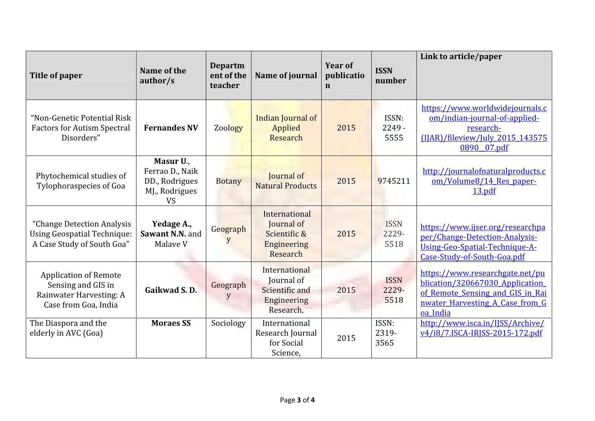| Title of paper                                                                                        | Name of the<br>author/s                                                       | <b>Departm</b><br>ent of the<br>teacher | Name of journal                                                           | <b>Year of</b><br>publicatio<br>$\mathbf n$ | <b>ISSN</b><br>number        | Link to article/paper                                                                                                                                 |
|-------------------------------------------------------------------------------------------------------|-------------------------------------------------------------------------------|-----------------------------------------|---------------------------------------------------------------------------|---------------------------------------------|------------------------------|-------------------------------------------------------------------------------------------------------------------------------------------------------|
| "Non-Genetic Potential Risk<br><b>Factors for Autism Spectral</b><br>Disorders"                       | <b>Fernandes NV</b>                                                           | Zoology                                 | Indian Journal of<br>Applied<br>Research                                  | 2015                                        | ISSN:<br>$2249 -$<br>5555    | https://www.worldwidejournals.c<br>om/indian-journal-of-applied-<br>research-<br>(IJAR)/fileview/July 2015 143575<br>0890 07.pdf                      |
| Phytochemical studies of<br>Tylophoraspecies of Goa                                                   | Masur U.,<br>Ferrao D., Naik<br>DD., Rodrigues<br>MJ., Rodrigues<br><b>VS</b> | <b>Botany</b>                           | Journal of<br><b>Natural Products</b>                                     | 2015                                        | 9745211                      | http://journalofnaturalproducts.c<br>om/Volume8/14 Res paper-<br>13.pdf                                                                               |
| "Change Detection Analysis<br><b>Using Geospatial Technique:</b><br>A Case Study of South Goa"        | Yedage A.,<br>Sawant N.N. and<br>Malave V                                     | Geograph<br>V                           | International<br>Journal of<br>Scientific &<br>Engineering<br>Research    | 2015                                        | <b>ISSN</b><br>2229-<br>5518 | https://www.ijser.org/researchpa<br>per/Change-Detection-Analysis-<br>Using-Geo-Spatial-Technique-A-<br>Case-Study-of-South-Goa.pdf                   |
| <b>Application of Remote</b><br>Sensing and GIS in<br>Rainwater Harvesting: A<br>Case from Goa, India | Gaikwad S.D.                                                                  | Geograph<br>y                           | International<br>Journal of<br>Scientific and<br>Engineering<br>Research, | 2015                                        | <b>ISSN</b><br>2229-<br>5518 | https://www.researchgate.net/pu<br>blication/320667030 Application<br>of Remote Sensing and GIS in Rai<br>nwater Harvesting A Case from G<br>oa India |
| The Diaspora and the<br>elderly in AVC (Goa)                                                          | <b>Moraes SS</b>                                                              | Sociology                               | International<br>Research Journal<br>for Social<br>Science,               | 2015                                        | ISSN:<br>2319-<br>3565       | http://www.isca.in/IJSS/Archive/<br>v4/i8/7.ISCA-IRJSS-2015-172.pdf                                                                                   |